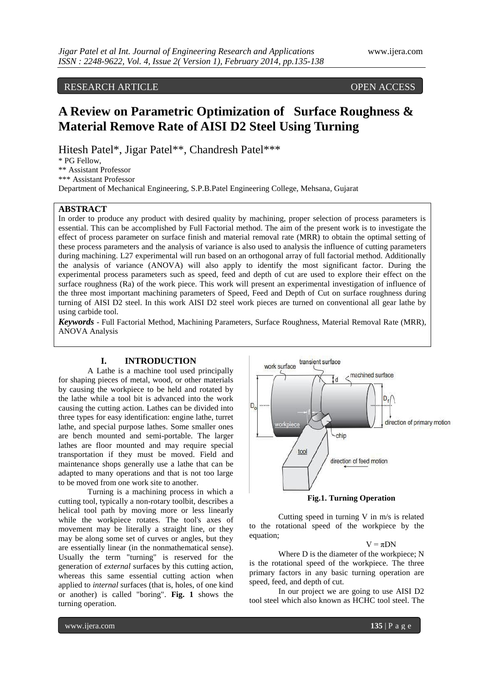RESEARCH ARTICLE OPEN ACCESS

# **A Review on Parametric Optimization of Surface Roughness & Material Remove Rate of AISI D2 Steel Using Turning**

Hitesh Patel\*, Jigar Patel\*\*, Chandresh Patel\*\*\*

\* PG Fellow,

\*\* Assistant Professor

\*\*\* Assistant Professor

Department of Mechanical Engineering, S.P.B.Patel Engineering College, Mehsana, Gujarat

## **ABSTRACT**

In order to produce any product with desired quality by machining, proper selection of process parameters is essential. This can be accomplished by Full Factorial method. The aim of the present work is to investigate the effect of process parameter on surface finish and material removal rate (MRR) to obtain the optimal setting of these process parameters and the analysis of variance is also used to analysis the influence of cutting parameters during machining. L27 experimental will run based on an orthogonal array of full factorial method. Additionally the analysis of variance (ANOVA) will also apply to identify the most significant factor. During the experimental process parameters such as speed, feed and depth of cut are used to explore their effect on the surface roughness (Ra) of the work piece. This work will present an experimental investigation of influence of the three most important machining parameters of Speed, Feed and Depth of Cut on surface roughness during turning of AISI D2 steel. In this work AISI D2 steel work pieces are turned on conventional all gear lathe by using carbide tool.

*Keywords* - Full Factorial Method, Machining Parameters, Surface Roughness, Material Removal Rate (MRR), ANOVA Analysis

### **I. INTRODUCTION**

A Lathe is a machine tool used principally for shaping pieces of metal, wood, or other materials by causing the workpiece to be held and rotated by the lathe while a tool bit is advanced into the work causing the cutting action. Lathes can be divided into three types for easy identification: engine lathe, turret lathe, and special purpose lathes. Some smaller ones are bench mounted and semi-portable. The larger lathes are floor mounted and may require special transportation if they must be moved. Field and maintenance shops generally use a lathe that can be adapted to many operations and that is not too large to be moved from one work site to another.

Turning is a machining process in which a cutting tool, typically a non-rotary toolbit, describes a helical tool path by moving more or less linearly while the workpiece rotates. The tool's axes of movement may be literally a straight line, or they may be along some set of curves or angles, but they are essentially linear (in the nonmathematical sense). Usually the term "turning" is reserved for the generation of *external* surfaces by this cutting action, whereas this same essential cutting action when applied to *internal* surfaces (that is, holes, of one kind or another) is called "boring". **Fig. 1** shows the turning operation.



**Fig.1. Turning Operation**

Cutting speed in turning V in m/s is related to the rotational speed of the workpiece by the equation;

 $V = \pi DN$ 

Where D is the diameter of the workpiece; N is the rotational speed of the workpiece. The three primary factors in any basic turning operation are speed, feed, and depth of cut.

In our project we are going to use AISI D2 tool steel which also known as HCHC tool steel. The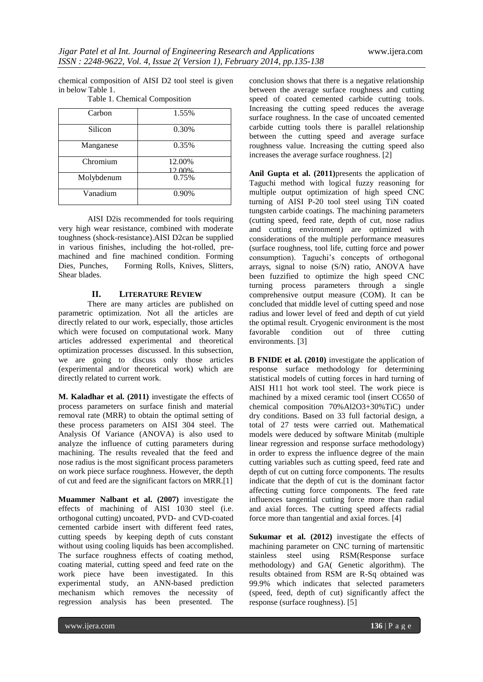chemical composition of AISI D2 tool steel is given in below Table 1.

| Carbon     | 1.55%  |
|------------|--------|
|            |        |
| Silicon    | 0.30%  |
|            |        |
| Manganese  | 0.35%  |
|            |        |
|            |        |
| Chromium   | 12.00% |
|            | 2.00%  |
| Molybdenum | 0.75%  |
|            |        |
| Vanadium   | 0.90%  |
|            |        |
|            |        |

Table 1. Chemical Composition

AISI D2is recommended for tools requiring very high wear resistance, combined with moderate toughness (shock-resistance).AISI D2can be supplied in various finishes, including the hot-rolled, premachined and fine machined condition. Forming Dies, Punches,Forming Rolls, Knives, Slitters, Shear blades.

#### **II. LITERATURE REVIEW**

There are many articles are published on parametric optimization. Not all the articles are directly related to our work, especially, those articles which were focused on computational work. Many articles addressed experimental and theoretical optimization processes discussed. In this subsection, we are going to discuss only those articles (experimental and/or theoretical work) which are directly related to current work.

**M. Kaladhar et al. (2011)** investigate the effects of process parameters on surface finish and material removal rate (MRR) to obtain the optimal setting of these process parameters on AISI 304 steel. The Analysis Of Variance (ANOVA) is also used to analyze the influence of cutting parameters during machining. The results revealed that the feed and nose radius is the most significant process parameters on work piece surface roughness. However, the depth of cut and feed are the significant factors on MRR.[1]

**Muammer Nalbant et al. (2007)** investigate the effects of machining of AISI 1030 steel (i.e. orthogonal cutting) uncoated, PVD- and CVD-coated cemented carbide insert with different feed rates, cutting speeds by keeping depth of cuts constant without using cooling liquids has been accomplished. The surface roughness effects of coating method, coating material, cutting speed and feed rate on the work piece have been investigated. In this experimental study, an ANN-based prediction mechanism which removes the necessity of regression analysis has been presented. The conclusion shows that there is a negative relationship between the average surface roughness and cutting speed of coated cemented carbide cutting tools. Increasing the cutting speed reduces the average surface roughness. In the case of uncoated cemented carbide cutting tools there is parallel relationship between the cutting speed and average surface roughness value. Increasing the cutting speed also increases the average surface roughness. [2]

**Anil Gupta et al. (2011)**presents the application of Taguchi method with logical fuzzy reasoning for multiple output optimization of high speed CNC turning of AISI P-20 tool steel using TiN coated tungsten carbide coatings. The machining parameters (cutting speed, feed rate, depth of cut, nose radius and cutting environment) are optimized with considerations of the multiple performance measures (surface roughness, tool life, cutting force and power consumption). Taguchi's concepts of orthogonal arrays, signal to noise (S/N) ratio, ANOVA have been fuzzified to optimize the high speed CNC turning process parameters through a single comprehensive output measure (COM). It can be concluded that middle level of cutting speed and nose radius and lower level of feed and depth of cut yield the optimal result. Cryogenic environment is the most favorable condition out of three cutting environments. [3]

**B FNIDE et al. (2010)** investigate the application of response surface methodology for determining statistical models of cutting forces in hard turning of AISI H11 hot work tool steel. The work piece is machined by a mixed ceramic tool (insert CC650 of chemical composition 70%Al2O3+30%TiC) under dry conditions. Based on 33 full factorial design, a total of 27 tests were carried out. Mathematical models were deduced by software Minitab (multiple linear regression and response surface methodology) in order to express the influence degree of the main cutting variables such as cutting speed, feed rate and depth of cut on cutting force components. The results indicate that the depth of cut is the dominant factor affecting cutting force components. The feed rate influences tangential cutting force more than radial and axial forces. The cutting speed affects radial force more than tangential and axial forces. [4]

**Sukumar et al. (2012)** investigate the effects of machining parameter on CNC turning of martensitic stainless steel using RSM(Response surface methodology) and GA( Genetic algorithm). The results obtained from RSM are R-Sq obtained was 99.9% which indicates that selected parameters (speed, feed, depth of cut) significantly affect the response (surface roughness). [5]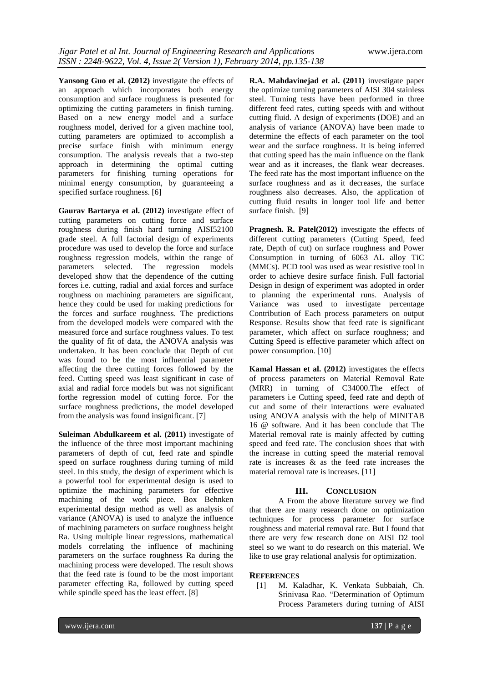**Yansong Guo et al. (2012)** investigate the effects of an approach which incorporates both energy consumption and surface roughness is presented for optimizing the cutting parameters in finish turning. Based on a new energy model and a surface roughness model, derived for a given machine tool, cutting parameters are optimized to accomplish a precise surface finish with minimum energy consumption. The analysis reveals that a two-step approach in determining the optimal cutting parameters for finishing turning operations for minimal energy consumption, by guaranteeing a specified surface roughness. [6]

**Gaurav Bartarya et al. (2012)** investigate effect of cutting parameters on cutting force and surface roughness during finish hard turning AISI52100 grade steel. A full factorial design of experiments procedure was used to develop the force and surface roughness regression models, within the range of parameters selected. The regression models developed show that the dependence of the cutting forces i.e. cutting, radial and axial forces and surface roughness on machining parameters are significant, hence they could be used for making predictions for the forces and surface roughness. The predictions from the developed models were compared with the measured force and surface roughness values. To test the quality of fit of data, the ANOVA analysis was undertaken. It has been conclude that Depth of cut was found to be the most influential parameter affecting the three cutting forces followed by the feed. Cutting speed was least significant in case of axial and radial force models but was not significant forthe regression model of cutting force. For the surface roughness predictions, the model developed from the analysis was found insignificant. [7]

**Suleiman Abdulkareem et al. (2011)** investigate of the influence of the three most important machining parameters of depth of cut, feed rate and spindle speed on surface roughness during turning of mild steel. In this study, the design of experiment which is a powerful tool for experimental design is used to optimize the machining parameters for effective machining of the work piece. Box Behnken experimental design method as well as analysis of variance (ANOVA) is used to analyze the influence of machining parameters on surface roughness height Ra. Using multiple linear regressions, mathematical models correlating the influence of machining parameters on the surface roughness Ra during the machining process were developed. The result shows that the feed rate is found to be the most important parameter effecting Ra, followed by cutting speed while spindle speed has the least effect. [8]

**R.A. Mahdavinejad et al. (2011)** investigate paper the optimize turning parameters of AISI 304 stainless steel. Turning tests have been performed in three different feed rates, cutting speeds with and without cutting fluid. A design of experiments (DOE) and an analysis of variance (ANOVA) have been made to determine the effects of each parameter on the tool wear and the surface roughness. It is being inferred that cutting speed has the main influence on the flank wear and as it increases, the flank wear decreases. The feed rate has the most important influence on the surface roughness and as it decreases, the surface roughness also decreases. Also, the application of cutting fluid results in longer tool life and better surface finish. [9]

**Pragnesh. R. Patel(2012)** investigate the effects of different cutting parameters (Cutting Speed, feed rate, Depth of cut) on surface roughness and Power Consumption in turning of 6063 AL alloy TiC (MMCs). PCD tool was used as wear resistive tool in order to achieve desire surface finish. Full factorial Design in design of experiment was adopted in order to planning the experimental runs. Analysis of Variance was used to investigate percentage Contribution of Each process parameters on output Response. Results show that feed rate is significant parameter, which affect on surface roughness; and Cutting Speed is effective parameter which affect on power consumption. [10]

**Kamal Hassan et al. (2012)** investigates the effects of process parameters on Material Removal Rate (MRR) in turning of C34000.The effect of parameters i.e Cutting speed, feed rate and depth of cut and some of their interactions were evaluated using ANOVA analysis with the help of MINITAB 16 @ software. And it has been conclude that The Material removal rate is mainly affected by cutting speed and feed rate. The conclusion shoes that with the increase in cutting speed the material removal rate is increases & as the feed rate increases the material removal rate is increases. [11]

#### **III. CONCLUSION**

A From the above literature survey we find that there are many research done on optimization techniques for process parameter for surface roughness and material removal rate. But I found that there are very few research done on AISI D2 tool steel so we want to do research on this material. We like to use gray relational analysis for optimization.

#### **REFERENCES**

[1] M. Kaladhar, K. Venkata Subbaiah, Ch. Srinivasa Rao. "Determination of Optimum Process Parameters during turning of AISI